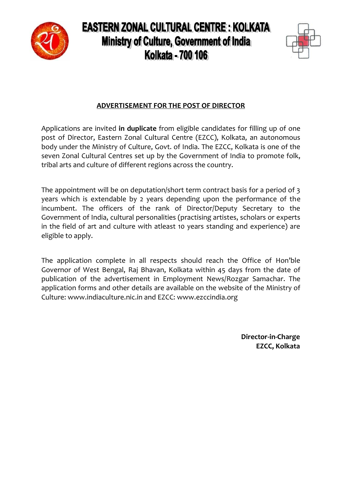

# **EASTERN ZONAL CULTURAL CENTRE : KOLKATA** Ministry of Culture, Government of India **Kolkata - 700 106**



# **ADVERTISEMENT FOR THE POST OF DIRECTOR**

Applications are invited **in duplicate** from eligible candidates for filling up of one post of Director, Eastern Zonal Cultural Centre (EZCC), Kolkata, an autonomous body under the Ministry of Culture, Govt. of India. The EZCC, Kolkata is one of the seven Zonal Cultural Centres set up by the Government of India to promote folk, tribal arts and culture of different regions across the country.

The appointment will be on deputation/short term contract basis for a period of 3 years which is extendable by 2 years depending upon the performance of the incumbent. The officers of the rank of Director/Deputy Secretary to the Government of India, cultural personalities (practising artistes, scholars or experts in the field of art and culture with atleast 10 years standing and experience) are eligible to apply.

The application complete in all respects should reach the Office of Hon'ble Governor of West Bengal, Raj Bhavan, Kolkata within 45 days from the date of publication of the advertisement in Employment News/Rozgar Samachar. The application forms and other details are available on the website of the Ministry of Culture: www.indiaculture.nic.in and EZCC: www.ezccindia.org

> **Director-in-Charge EZCC, Kolkata**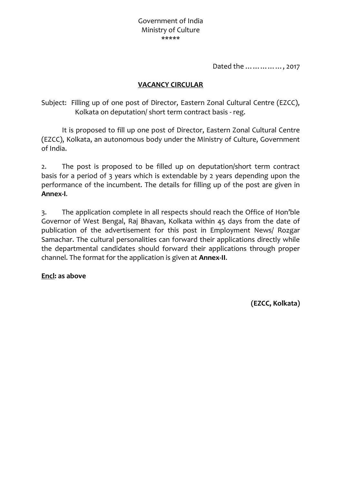Dated the ……………, 2017

### **VACANCY CIRCULAR**

Subject: Filling up of one post of Director, Eastern Zonal Cultural Centre (EZCC), Kolkata on deputation/ short term contract basis - reg.

It is proposed to fill up one post of Director, Eastern Zonal Cultural Centre (EZCC), Kolkata, an autonomous body under the Ministry of Culture, Government of India.

2. The post is proposed to be filled up on deputation/short term contract basis for a period of 3 years which is extendable by 2 years depending upon the performance of the incumbent. The details for filling up of the post are given in **Annex-I**.

3. The application complete in all respects should reach the Office of Hon'ble Governor of West Bengal, Raj Bhavan, Kolkata within 45 days from the date of publication of the advertisement for this post in Employment News/ Rozgar Samachar. The cultural personalities can forward their applications directly while the departmental candidates should forward their applications through proper channel. The format for the application is given at **Annex-II**.

**Encl: as above**

**(EZCC, Kolkata)**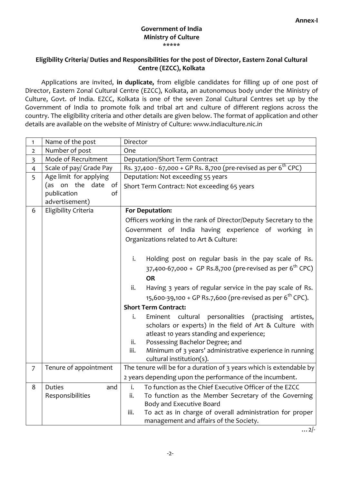#### **Government of India Ministry of Culture** \*\*\*\*\*

#### **Eligibility Criteria/ Duties and Responsibilities for the post of Director, Eastern Zonal Cultural Centre (EZCC), Kolkata**

Applications are invited, **in duplicate,** from eligible candidates for filling up of one post of Director, Eastern Zonal Cultural Centre (EZCC), Kolkata, an autonomous body under the Ministry of Culture, Govt. of India. EZCC, Kolkata is one of the seven Zonal Cultural Centres set up by the Government of India to promote folk and tribal art and culture of different regions across the country. The eligibility criteria and other details are given below. The format of application and other details are available on the website of Ministry of Culture: www.indiaculture.nic.in

| Name of the post        | Director                                                                                                                         |  |  |  |  |  |  |  |
|-------------------------|----------------------------------------------------------------------------------------------------------------------------------|--|--|--|--|--|--|--|
| Number of post          | One                                                                                                                              |  |  |  |  |  |  |  |
| Mode of Recruitment     | <b>Deputation/Short Term Contract</b>                                                                                            |  |  |  |  |  |  |  |
| Scale of pay/ Grade Pay | Rs. 37,400 - 67,000 + GP Rs. 8,700 (pre-revised as per 6 <sup>th</sup> CPC)                                                      |  |  |  |  |  |  |  |
| Age limit for applying  | Deputation: Not exceeding 55 years                                                                                               |  |  |  |  |  |  |  |
| (as on the date of      | Short Term Contract: Not exceeding 65 years                                                                                      |  |  |  |  |  |  |  |
|                         |                                                                                                                                  |  |  |  |  |  |  |  |
|                         |                                                                                                                                  |  |  |  |  |  |  |  |
|                         | <b>For Deputation:</b>                                                                                                           |  |  |  |  |  |  |  |
|                         | Officers working in the rank of Director/Deputy Secretary to the                                                                 |  |  |  |  |  |  |  |
|                         | Government of India having experience of working in                                                                              |  |  |  |  |  |  |  |
|                         | Organizations related to Art & Culture:                                                                                          |  |  |  |  |  |  |  |
|                         |                                                                                                                                  |  |  |  |  |  |  |  |
|                         | Holding post on regular basis in the pay scale of Rs.<br>i.                                                                      |  |  |  |  |  |  |  |
|                         | 37,400-67,000 + GP Rs.8,700 (pre-revised as per 6 <sup>th</sup> CPC)                                                             |  |  |  |  |  |  |  |
|                         | <b>OR</b>                                                                                                                        |  |  |  |  |  |  |  |
|                         | ii.<br>Having 3 years of regular service in the pay scale of Rs.                                                                 |  |  |  |  |  |  |  |
|                         | 15,600-39,100 + GP Rs.7,600 (pre-revised as per $6^{th}$ CPC).                                                                   |  |  |  |  |  |  |  |
|                         |                                                                                                                                  |  |  |  |  |  |  |  |
|                         | <b>Short Term Contract:</b>                                                                                                      |  |  |  |  |  |  |  |
|                         | personalities (practising<br>Eminent cultural<br>artistes,<br>i.                                                                 |  |  |  |  |  |  |  |
|                         | scholars or experts) in the field of Art & Culture with                                                                          |  |  |  |  |  |  |  |
|                         | atleast 10 years standing and experience;<br>Possessing Bachelor Degree; and<br>ii.                                              |  |  |  |  |  |  |  |
|                         | iii.<br>Minimum of 3 years' administrative experience in running                                                                 |  |  |  |  |  |  |  |
|                         | cultural institution(s).                                                                                                         |  |  |  |  |  |  |  |
|                         | The tenure will be for a duration of 3 years which is extendable by                                                              |  |  |  |  |  |  |  |
|                         | 2 years depending upon the performance of the incumbent.                                                                         |  |  |  |  |  |  |  |
|                         | To function as the Chief Executive Officer of the EZCC<br>i.                                                                     |  |  |  |  |  |  |  |
|                         | ii.<br>To function as the Member Secretary of the Governing                                                                      |  |  |  |  |  |  |  |
|                         | Body and Executive Board                                                                                                         |  |  |  |  |  |  |  |
|                         | To act as in charge of overall administration for proper<br>iii.                                                                 |  |  |  |  |  |  |  |
|                         | management and affairs of the Society.                                                                                           |  |  |  |  |  |  |  |
|                         | publication<br>of<br>advertisement)<br>Eligibility Criteria<br>Tenure of appointment<br><b>Duties</b><br>and<br>Responsibilities |  |  |  |  |  |  |  |

 $\ldots$  2/-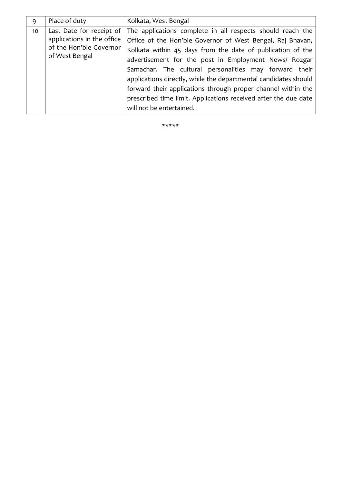| 9  | Place of duty                                                                                       | Kolkata, West Bengal                                                                                                                                                                                                                                                                                                                                                                                                                                                                                                                        |  |  |  |  |  |
|----|-----------------------------------------------------------------------------------------------------|---------------------------------------------------------------------------------------------------------------------------------------------------------------------------------------------------------------------------------------------------------------------------------------------------------------------------------------------------------------------------------------------------------------------------------------------------------------------------------------------------------------------------------------------|--|--|--|--|--|
| 10 | Last Date for receipt of<br>applications in the office<br>of the Hon'ble Governor<br>of West Bengal | The applications complete in all respects should reach the<br>Office of the Hon'ble Governor of West Bengal, Raj Bhavan,<br>Kolkata within 45 days from the date of publication of the<br>advertisement for the post in Employment News/ Rozgar<br>Samachar. The cultural personalities may forward their<br>applications directly, while the departmental candidates should<br>forward their applications through proper channel within the<br>prescribed time limit. Applications received after the due date<br>will not be entertained. |  |  |  |  |  |

\*\*\*\*\*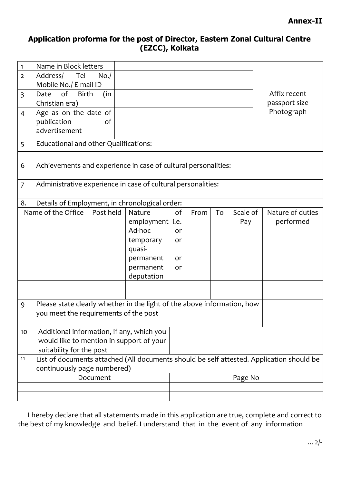## **Application proforma for the post of Director, Eastern Zonal Cultural Centre (EZCC), Kolkata**

| 1                                        | Name in Block letters                                                                                                         |                           |                 |    |         |    |          |                  |  |
|------------------------------------------|-------------------------------------------------------------------------------------------------------------------------------|---------------------------|-----------------|----|---------|----|----------|------------------|--|
| $\overline{2}$                           | Address/<br>Tel                                                                                                               |                           |                 |    |         |    |          |                  |  |
|                                          | Mobile No./ E-mail ID                                                                                                         |                           |                 |    |         |    |          |                  |  |
| $\overline{3}$                           | Date                                                                                                                          | of<br><b>Birth</b><br>(in |                 |    |         |    |          | Affix recent     |  |
|                                          | Christian era)                                                                                                                |                           |                 |    |         |    |          | passport size    |  |
| 4                                        | Age as on the date of                                                                                                         |                           |                 |    |         |    |          | Photograph       |  |
|                                          | publication<br>advertisement                                                                                                  | оf                        |                 |    |         |    |          |                  |  |
|                                          |                                                                                                                               |                           |                 |    |         |    |          |                  |  |
| 5                                        | Educational and other Qualifications:                                                                                         |                           |                 |    |         |    |          |                  |  |
|                                          |                                                                                                                               |                           |                 |    |         |    |          |                  |  |
| 6                                        | Achievements and experience in case of cultural personalities:                                                                |                           |                 |    |         |    |          |                  |  |
|                                          |                                                                                                                               |                           |                 |    |         |    |          |                  |  |
| 7                                        | Administrative experience in case of cultural personalities:                                                                  |                           |                 |    |         |    |          |                  |  |
| 8.                                       | Details of Employment, in chronological order:                                                                                |                           |                 |    |         |    |          |                  |  |
|                                          | Name of the Office                                                                                                            | Post held                 | Nature          | of | From    | To | Scale of | Nature of duties |  |
|                                          |                                                                                                                               |                           | employment i.e. |    |         |    | Pay      | performed        |  |
|                                          |                                                                                                                               |                           | Ad-hoc          | or |         |    |          |                  |  |
|                                          |                                                                                                                               |                           | temporary       | or |         |    |          |                  |  |
|                                          |                                                                                                                               |                           | quasi-          |    |         |    |          |                  |  |
|                                          |                                                                                                                               |                           | permanent       | or |         |    |          |                  |  |
|                                          |                                                                                                                               |                           | permanent       | or |         |    |          |                  |  |
|                                          |                                                                                                                               |                           | deputation      |    |         |    |          |                  |  |
|                                          |                                                                                                                               |                           |                 |    |         |    |          |                  |  |
| 9                                        |                                                                                                                               |                           |                 |    |         |    |          |                  |  |
|                                          | Please state clearly whether in the light of the above information, how<br>you meet the requirements of the post              |                           |                 |    |         |    |          |                  |  |
|                                          |                                                                                                                               |                           |                 |    |         |    |          |                  |  |
| 10                                       | Additional information, if any, which you                                                                                     |                           |                 |    |         |    |          |                  |  |
| would like to mention in support of your |                                                                                                                               |                           |                 |    |         |    |          |                  |  |
|                                          | suitability for the post                                                                                                      |                           |                 |    |         |    |          |                  |  |
|                                          | List of documents attached (All documents should be self attested. Application should be<br>11<br>continuously page numbered) |                           |                 |    |         |    |          |                  |  |
|                                          | Document                                                                                                                      |                           |                 |    | Page No |    |          |                  |  |
|                                          |                                                                                                                               |                           |                 |    |         |    |          |                  |  |
|                                          |                                                                                                                               |                           |                 |    |         |    |          |                  |  |

 I hereby declare that all statements made in this application are true, complete and correct to the best of my knowledge and belief. I understand that in the event of any information